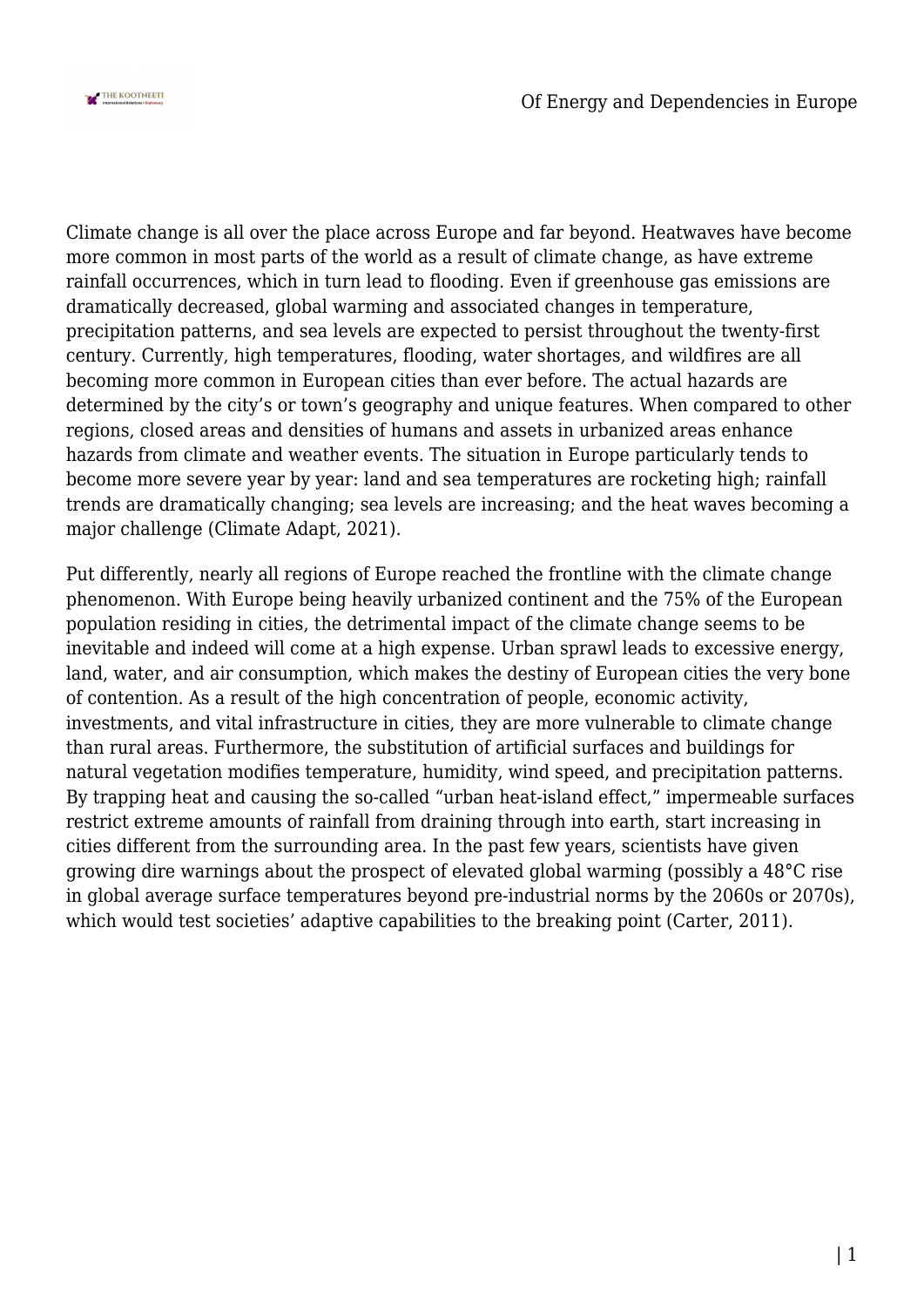

Climate change is all over the place across Europe and far beyond. Heatwaves have become more common in most parts of the world as a result of climate change, as have extreme rainfall occurrences, which in turn lead to flooding. Even if greenhouse gas emissions are dramatically decreased, global warming and associated changes in temperature, precipitation patterns, and sea levels are expected to persist throughout the twenty-first century. Currently, high temperatures, flooding, water shortages, and wildfires are all becoming more common in European cities than ever before. The actual hazards are determined by the city's or town's geography and unique features. When compared to other regions, closed areas and densities of humans and assets in urbanized areas enhance hazards from climate and weather events. The situation in Europe particularly tends to become more severe year by year: land and sea temperatures are rocketing high; rainfall trends are dramatically changing; sea levels are increasing; and the heat waves becoming a major challenge (Climate Adapt, 2021).

Put differently, nearly all regions of Europe reached the frontline with the climate change phenomenon. With Europe being heavily urbanized continent and the 75% of the European population residing in cities, the detrimental impact of the climate change seems to be inevitable and indeed will come at a high expense. Urban sprawl leads to excessive energy, land, water, and air consumption, which makes the destiny of European cities the very bone of contention. As a result of the high concentration of people, economic activity, investments, and vital infrastructure in cities, they are more vulnerable to climate change than rural areas. Furthermore, the substitution of artificial surfaces and buildings for natural vegetation modifies temperature, humidity, wind speed, and precipitation patterns. By trapping heat and causing the so-called "urban heat-island effect," impermeable surfaces restrict extreme amounts of rainfall from draining through into earth, start increasing in cities different from the surrounding area. In the past few years, scientists have given growing dire warnings about the prospect of elevated global warming (possibly a 48°C rise in global average surface temperatures beyond pre-industrial norms by the 2060s or 2070s), which would test societies' adaptive capabilities to the breaking point (Carter, 2011).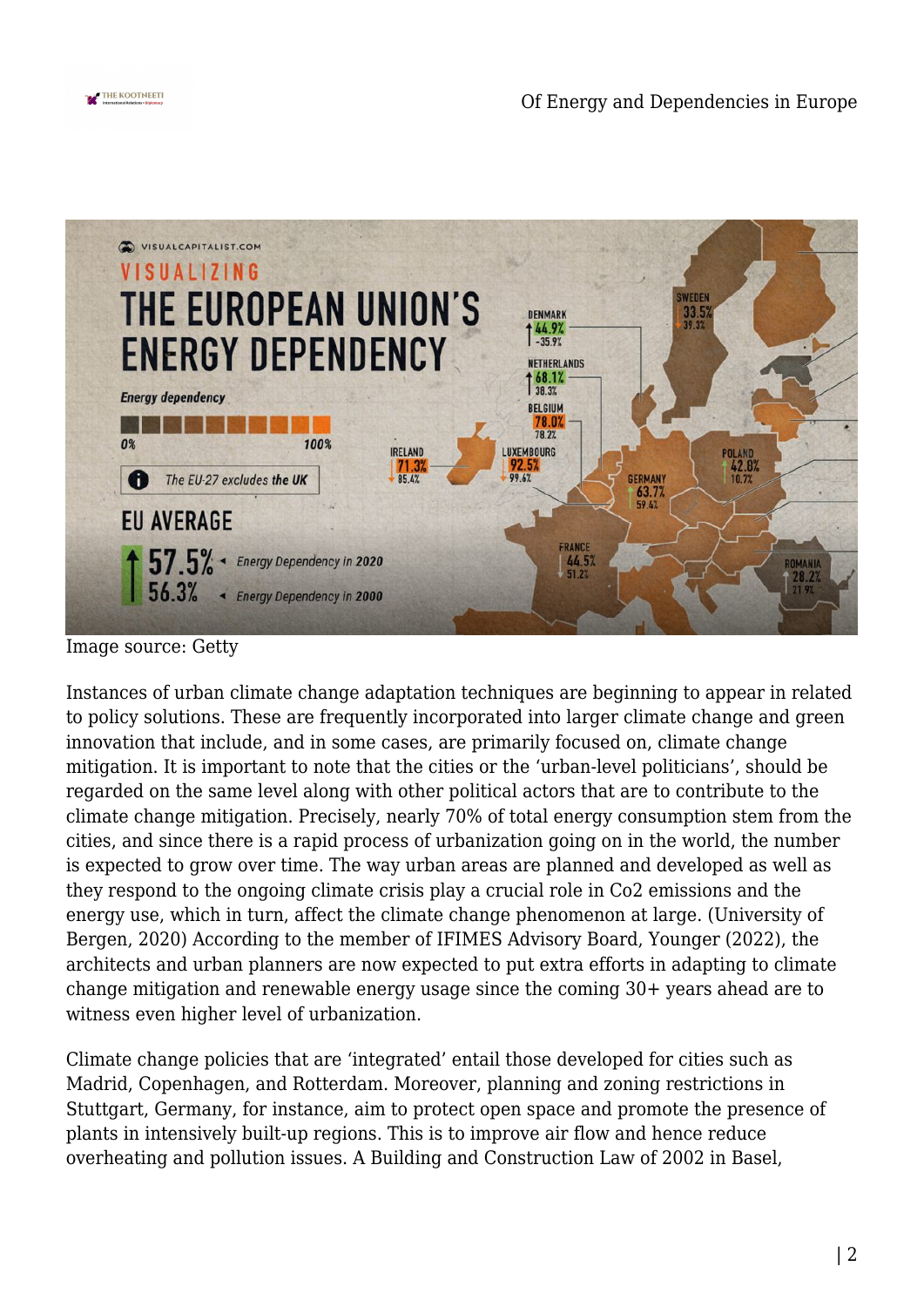



Image source: Getty

Instances of urban climate change adaptation techniques are beginning to appear in related to policy solutions. These are frequently incorporated into larger climate change and green innovation that include, and in some cases, are primarily focused on, climate change mitigation. It is important to note that the cities or the 'urban-level politicians', should be regarded on the same level along with other political actors that are to contribute to the climate change mitigation. Precisely, nearly 70% of total energy consumption stem from the cities, and since there is a rapid process of urbanization going on in the world, the number is expected to grow over time. The way urban areas are planned and developed as well as they respond to the ongoing climate crisis play a crucial role in Co2 emissions and the energy use, which in turn, affect the climate change phenomenon at large. (University of Bergen, 2020) According to the member of IFIMES Advisory Board, Younger (2022), the architects and urban planners are now expected to put extra efforts in adapting to climate change mitigation and renewable energy usage since the coming 30+ years ahead are to witness even higher level of urbanization.

Climate change policies that are 'integrated' entail those developed for cities such as Madrid, Copenhagen, and Rotterdam. Moreover, planning and zoning restrictions in Stuttgart, Germany, for instance, aim to protect open space and promote the presence of plants in intensively built-up regions. This is to improve air flow and hence reduce overheating and pollution issues. A Building and Construction Law of 2002 in Basel,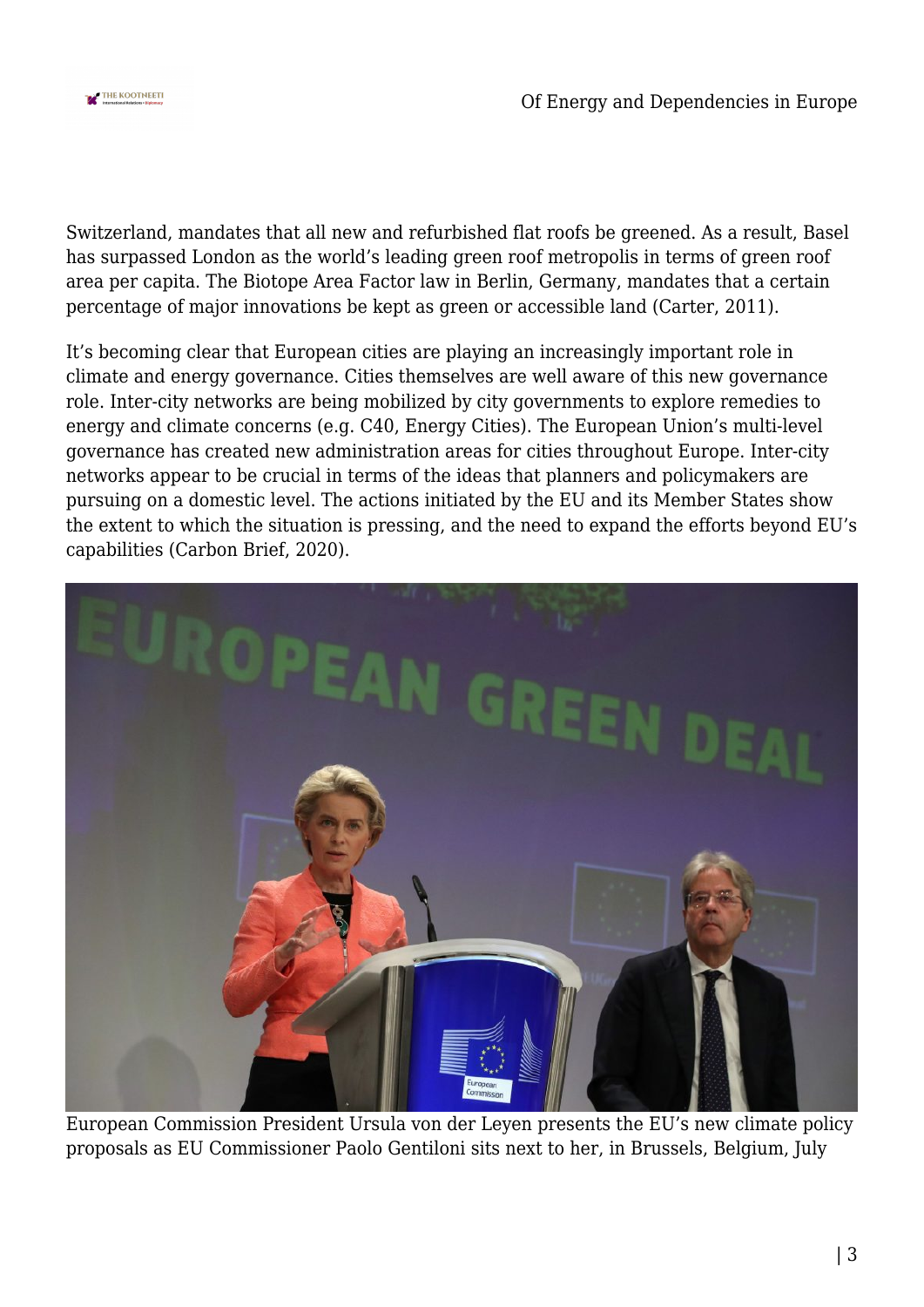

Switzerland, mandates that all new and refurbished flat roofs be greened. As a result, Basel has surpassed London as the world's leading green roof metropolis in terms of green roof area per capita. The Biotope Area Factor law in Berlin, Germany, mandates that a certain percentage of major innovations be kept as green or accessible land (Carter, 2011).

It's becoming clear that European cities are playing an increasingly important role in climate and energy governance. Cities themselves are well aware of this new governance role. Inter-city networks are being mobilized by city governments to explore remedies to energy and climate concerns (e.g. C40, Energy Cities). The European Union's multi-level governance has created new administration areas for cities throughout Europe. Inter-city networks appear to be crucial in terms of the ideas that planners and policymakers are pursuing on a domestic level. The actions initiated by the EU and its Member States show the extent to which the situation is pressing, and the need to expand the efforts beyond EU's capabilities (Carbon Brief, 2020).



European Commission President Ursula von der Leyen presents the EU's new climate policy proposals as EU Commissioner Paolo Gentiloni sits next to her, in Brussels, Belgium, July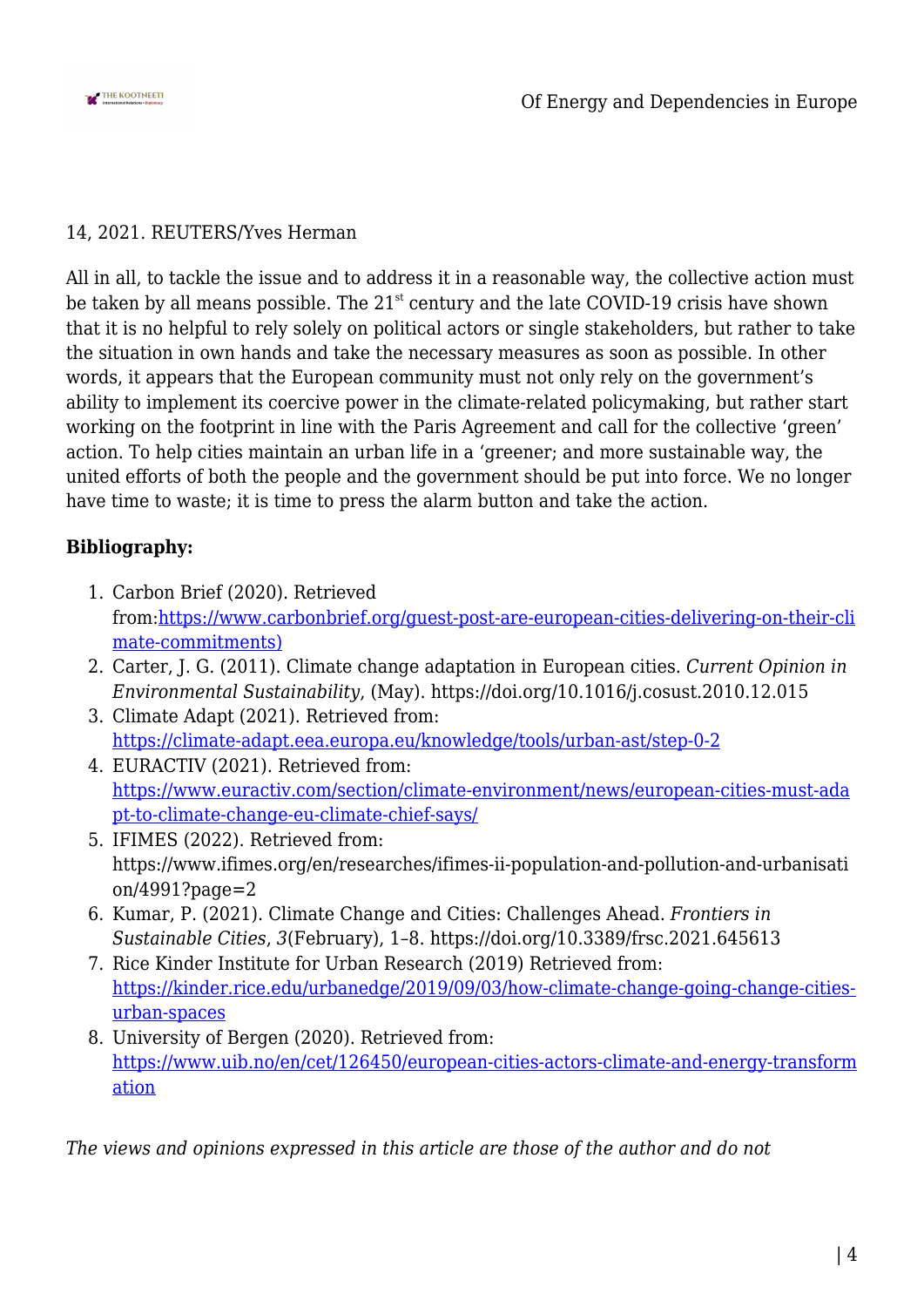

## 14, 2021. REUTERS/Yves Herman

All in all, to tackle the issue and to address it in a reasonable way, the collective action must be taken by all means possible. The  $21<sup>st</sup>$  century and the late COVID-19 crisis have shown that it is no helpful to rely solely on political actors or single stakeholders, but rather to take the situation in own hands and take the necessary measures as soon as possible. In other words, it appears that the European community must not only rely on the government's ability to implement its coercive power in the climate-related policymaking, but rather start working on the footprint in line with the Paris Agreement and call for the collective 'green' action. To help cities maintain an urban life in a 'greener; and more sustainable way, the united efforts of both the people and the government should be put into force. We no longer have time to waste; it is time to press the alarm button and take the action.

## **Bibliography:**

- 1. Carbon Brief (2020). Retrieved from[:https://www.carbonbrief.org/guest-post-are-european-cities-delivering-on-their-cli](https://www.carbonbrief.org/guest-post-are-european-cities-delivering-on-their-climate-commitments)) [mate-commitments\)](https://www.carbonbrief.org/guest-post-are-european-cities-delivering-on-their-climate-commitments))
- 2. Carter, J. G. (2011). Climate change adaptation in European cities. *Current Opinion in Environmental Sustainability*, (May). https://doi.org/10.1016/j.cosust.2010.12.015
- 3. Climate Adapt (2021). Retrieved from: <https://climate-adapt.eea.europa.eu/knowledge/tools/urban-ast/step-0-2>
- 4. EURACTIV (2021). Retrieved from: [https://www.euractiv.com/section/climate-environment/news/european-cities-must-ada](https://www.euractiv.com/section/climate-environment/news/european-cities-must-adapt-to-climate-change-eu-climate-chief-says/) [pt-to-climate-change-eu-climate-chief-says/](https://www.euractiv.com/section/climate-environment/news/european-cities-must-adapt-to-climate-change-eu-climate-chief-says/)
- 5. IFIMES (2022). Retrieved from: https://www.ifimes.org/en/researches/ifimes-ii-population-and-pollution-and-urbanisati on/4991?page=2
- 6. Kumar, P. (2021). Climate Change and Cities: Challenges Ahead. *Frontiers in Sustainable Cities*, *3*(February), 1–8. https://doi.org/10.3389/frsc.2021.645613
- 7. Rice Kinder Institute for Urban Research (2019) Retrieved from: [https://kinder.rice.edu/urbanedge/2019/09/03/how-climate-change-going-change-cities](https://kinder.rice.edu/urbanedge/2019/09/03/how-climate-change-going-change-cities-urban-spaces)[urban-spaces](https://kinder.rice.edu/urbanedge/2019/09/03/how-climate-change-going-change-cities-urban-spaces)
- 8. University of Bergen (2020). Retrieved from: [https://www.uib.no/en/cet/126450/european-cities-actors-climate-and-energy-transform](https://www.uib.no/en/cet/126450/european-cities-actors-climate-and-energy-transformation) [ation](https://www.uib.no/en/cet/126450/european-cities-actors-climate-and-energy-transformation)

*The views and opinions expressed in this article are those of the author and do not*